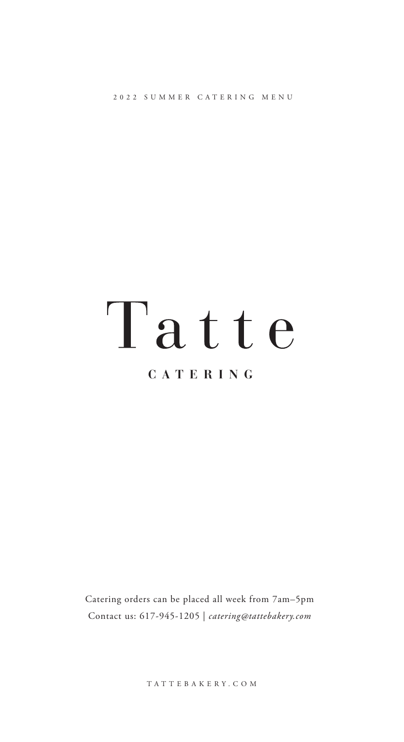2022 SUMMER CATERING MENU

# Tatte

# **CATERING**

Catering orders can be placed all week from 7am–5pm Contact us: 617-945-1205 | *catering@tattebakery.com*

TATTEBAKERY.COM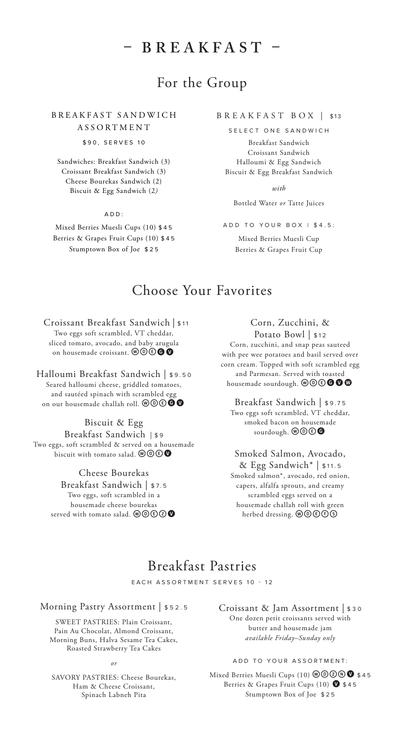# **– BREAKFAST –**

## For the Group

B R E A K F A S T S A N D W I C H ASSORTMENT

\$90, SERVES 10

Sandwiches: Breakfast Sandwich (3) Croissant Breakfast Sandwich (3) Cheese Bourekas Sandwich (2) Biscuit & Egg Sandwich (2*)*

ADD:

Mixed Berries Muesli Cups (10) \$45 Berries & Grapes Fruit Cups (10) \$45 Stumptown Box of Joe \$25

#### BREAKFAST BOX | \$13

SELECT ONE SANDWICH

Breakfast Sandwich Croissant Sandwich Halloumi & Egg Sandwich Biscuit & Egg Breakfast Sandwich

*with*

Bottled Water *or* Tatte Juices

ADD TO YOUR BOX | \$4.5:

Mixed Berries Muesli Cup Berries & Grapes Fruit Cup

## Choose Your Favorites

 Croissant Breakfast Sandwich | \$11 Two eggs soft scrambled, VT cheddar, sliced tomato, avocado, and baby arugula on housemade croissant.  $\mathcal{O} \odot \mathcal{O}$ 

Halloumi Breakfast Sandwich | \$9.50 Seared halloumi cheese, griddled tomatoes, and sautéed spinach with scrambled egg on our housemade challah roll.  $\mathcal{O}\mathcal{O}\bigcirc \mathbf{O}$ 

Biscuit & Egg Breakfast Sandwich | \$ 9 Two eggs, soft scrambled & served on a housemade biscuit with tomato salad.  $\mathcal{O}\mathcal{O}\mathcal{O}$ 

> Cheese Bourekas Breakfast Sandwich | \$7.5 Two eggs, soft scrambled in a housemade cheese bourekas served with tomato salad.  $\mathcal{O}\mathcal{O} \mathcal{O}$

Corn, Zucchini, & Potato Bowl | \$12 Corn, zucchini, and snap peas sauteed with pee wee potatoes and basil served over corn cream. Topped with soft scrambled egg and Parmesan. Served with toasted housemade sourdough.  $\mathcal{O} \mathcal{O} \otimes \mathbf{O}$ 

Breakfast Sandwich | \$9.75 Two eggs soft scrambled, VT cheddar, smoked bacon on housemade sourdough.  $\mathbf{\Theta} \mathbf{\Theta}$ 

Smoked Salmon, Avocado, & Egg Sandwich\* | \$11.5 Smoked salmon\*, avocado, red onion, capers, alfalfa sprouts, and creamy scrambled eggs served on a housemade challah roll with green herbed dressing. wdefs

## Breakfast Pastries

EACH ASSORTMENT SERVES 10 - 12

#### Morning Pastry Assortment | \$52.5

SWEET PASTRIES: Plain Croissant, Pain Au Chocolat, Almond Croissant, Morning Buns, Halva Sesame Tea Cakes, Roasted Strawberry Tea Cakes

*or* 

SAVORY PASTRIES: Cheese Bourekas, Ham & Cheese Croissant, Spinach Labneh Pita

Croissant & Jam Assortment | \$30 One dozen petit croissants served with butter and housemade jam *available Friday–Sunday only*

#### ADD TO YOUR ASSORTMENT:

Mixed Berries Muesli Cups (10) @ @ 2 \ \$45 Berries & Grapes Fruit Cups (10)  $\bullet$  \$45 Stumptown Box of Joe \$25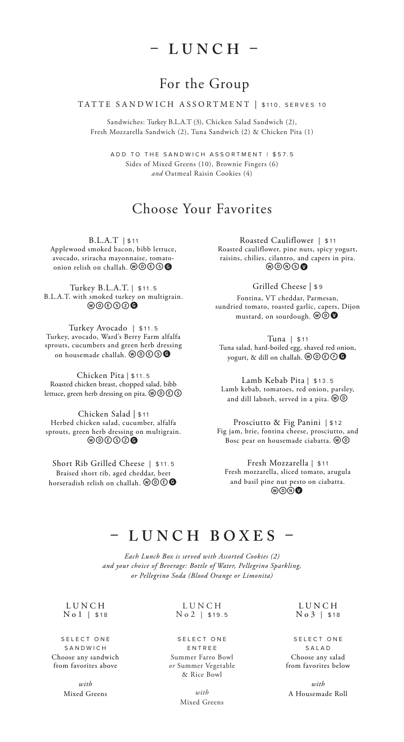# **– LUNCH –**

## For the Group

#### TATTE SANDWICH ASSORTMENT | \$110, SERVES 10

Sandwiches: Turkey B.L.A.T (3), Chicken Salad Sandwich (2), Fresh Mozzarella Sandwich (2), Tuna Sandwich (2) & Chicken Pita (1)

ADD TO THE SANDWICH ASSORTMENT | \$57.5 Sides of Mixed Greens (10), Brownie Fingers (6) *and* Oatmeal Raisin Cookies (4)

## Choose Your Favorites

B.L.A.T | \$11

Applewood smoked bacon, bibb lettuce, avocado, sriracha mayonnaise, tomatoonion relish on challah.  $@@@@@$ 

Turkey B.L.A.T. | \$11.5 B.L.A.T. with smoked turkey on multigrain.  $\circledcirc$   $\circledcirc$ 

Turkey Avocado | \$11.5 Turkey, avocado, Ward's Berry Farm alfalfa sprouts, cucumbers and green herb dressing on housemade challah.  $@@@@@$ 

Chicken Pita | \$11.5 Roasted chicken breast, chopped salad, bibb lettuce, green herb dressing on pita.  $\mathcal{OOS}$ 

Chicken Salad | \$11 Herbed chicken salad, cucumber, alfalfa sprouts, green herb dressing on multigrain.  $\omega$  $\circ$  $\circ$  $\circ$ 

Short Rib Grilled Cheese | \$11.5 Braised short rib, aged cheddar, beet horseradish relish on challah.  $@@@@$ 

Roasted Cauliflower | \$11 Roasted cauliflower, pine nuts, spicy yogurt, raisins, chilies, cilantro, and capers in pita.  $\circledcirc\circ\bullet$ 

Grilled Cheese | \$ 9

Fontina, VT cheddar, Parmesan, sundried tomato, roasted garlic, capers, Dijon mustard, on sourdough.  $@@@@$ 

Tuna | \$11 Tuna salad, hard-boiled egg, shaved red onion, yogurt, & dill on challah.  $\textcircled{1}\textcircled{1}\textcircled{1}$ 

Lamb Kebab Pita | \$13.5 Lamb kebab, tomatoes, red onion, parsley, and dill labneh, served in a pita.  $@@$ 

Prosciutto & Fig Panini | \$12 Fig jam, brie, fontina cheese, prosciutto, and Bosc pear on housemade ciabatta.  $@@$ 

Fresh Mozzarella | \$11 Fresh mozzarella, sliced tomato, arugula and basil pine nut pesto on ciabatta. **WOOO** 

# **– LUNCH BOXES –**

*Each Lunch Box is served with Assorted Cookies (2) and your choice of Beverage: Bottle of Water, Pellegrino Sparkling, or Pellegrino Soda (Blood Orange or Limonita)*

#### L U N C H No1 | \$18

S E L E C T O N E SANDWICH Choose any sandwich from favorites above

> *with*  Mixed Greens

#### L U N C H No2 | \$19.5

#### S E L E C T O N E ENTREE Summer Farro Bowl *or* Summer Vegetable & Rice Bowl

*with*  Mixed Greens

#### L U N C H No3 | \$18

S ELECT ONE SALAD Choose any salad from favorites below

*with*  A Housemade Roll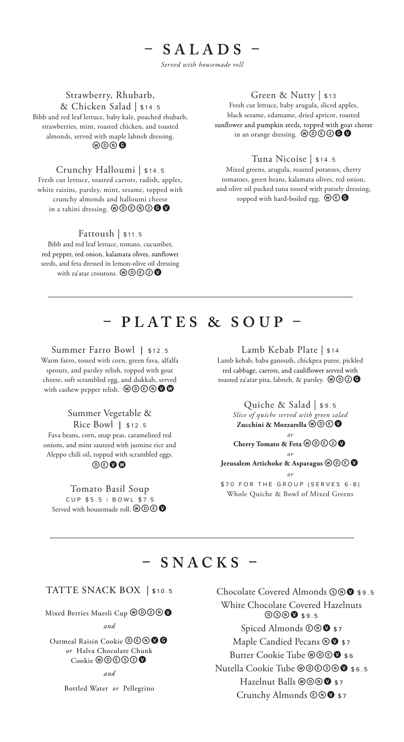## $-$  SALADS  $-$ *Served with housemade roll*

#### Strawberry, Rhubarb,

& Chicken Salad | \$14. <sup>5</sup>

Bibb and red leaf lettuce, baby kale, poached rhubarb, strawberries, mint, roasted chicken, and toasted almonds, served with maple labneh dressing.  $\circledcirc\circ\bullet$ 

#### Crunchy Halloumi | \$14. <sup>5</sup>

Fresh cut lettuce, toasted carrots, radish, apples, white raisins, parsley, mint, sesame, topped with crunchy almonds and halloumi cheese in a tahini dressing.  $\mathcal{O} \mathcal{O} \mathcal{O} \mathcal{O}$ 

#### Fattoush | \$11. <sup>5</sup>

Bibb and red leaf lettuce, tomato, cucumber, red pepper, red onion, kalamata olives, sunflower seeds, and feta dressed in lemon-olive oil dressing with za'atar croutons.  $\mathcal{W}(\mathbb{R}) \otimes \mathbf{Q}$ 

#### Green & Nutty | \$13

Fresh cut lettuce, baby arugula, sliced apples, black sesame, edamame, dried apricot, roasted sunflower and pumpkin seeds, topped with goat cheese<br>in an orange dressing.  $\mathcal{O}\mathcal{O}\mathcal{O}\mathcal{O}$ 

#### Tuna Nicoise | \$14 . <sup>5</sup>

Mixed greens, arugula, roasted potatoes, cherry tomatoes, green beans, kalamata olives, red onion, and olive oil packed tuna tossed with parsely dressing, topped with hard-boiled egg.  $\mathcal{O}\bigoplus$ 

# - PLATES & SOUP -

Summer Farro Bowl **|** \$12 . <sup>5</sup> Warm farro, tossed with corn, green fava, alfalfa sprouts, and parsley relish, topped with goat cheese, soft scrambled egg, and dukkah, served

with cashew pepper relish.  $\mathcal{O} \mathcal{O} \oplus \mathcal{O}$ 

#### Summer Vegetable &

Rice Bowl **|** \$12. <sup>5</sup> Fava beans, corn, snap peas, caramelized red onions, and mint sauteed with jasmine rice and Aleppo chili oil, topped with scrambled eggs. devw

Tomato Basil Soup CUP  $$5.5$  | BOWL  $$2.5$ Served with house<br>made roll.  $\textcircled{w}\textcircled{v}$  Lamb Kebab Plate | \$14

Lamb kebab, baba ganoush, chickpea puree, pickled red cabbage, carrots, and cauliflower served with<br>toasted za'atar pita, labneh, & parsley.  $\textcircled{ }0\textcircled{ }0$ 



# $-$  SNACKS  $-$

### TATTE SNACK BOX | \$10.5

Mixed Berries Muesli Cup @ 0 2 0

#### *and*

Oatmeal Raisin Cookie @ C O O O *or* Halva Chocolate Chunk  $\mathrm{Cookie}\, \mathfrak{wO} \mathfrak{O} \mathfrak{O} \mathfrak{O}$ 

*and* 

Bottled Water *or* Pellegrino

Chocolate Covered Almonds  $\mathcal{S} \otimes \mathbf{0}$  \$9.5 White Chocolate Covered Hazelnuts **DOO \$9.5** Spiced Almonds  $\circledcirc$  \$7 Maple Candied Pecans  $\mathbf{\circledcirc} \bullet$  \$7 Butter Cookie Tube @@© \$ 6 Nutella Cookie Tube @ @ 6 0 \$ 6 .5 Hazelnut Balls @ @ ® \$7 Crunchy Almonds  $\circledcirc$  \$7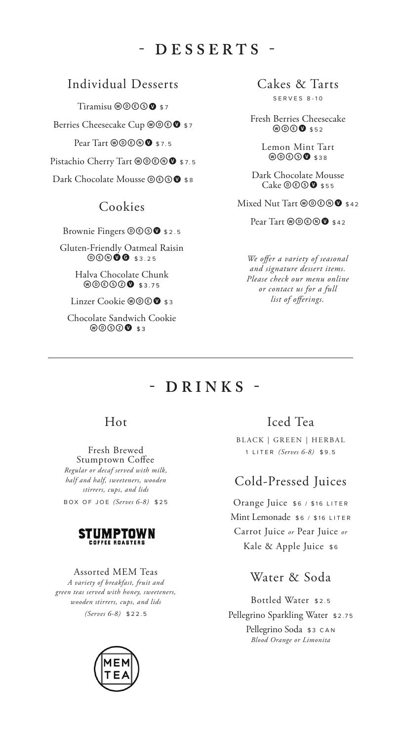# - DESSERTS -

## Individual Desserts

Tiramisu  $@@@@@$ \$7 Berries Cheesecake Cup @ @ 0 \$7 Pear Tart @ **@ 6 @ \$7.5** Pistachio Cherry Tart @@®® \$7.5 Dark Chocolate Mousse @ @ 9 \$ 8

## Cookies

Brownie Fingers @ **@ 6 \$ 2.5** 

Gluten-Friendly Oatmeal Raisin  $@@@@375$ 

> Halva Chocolate Chunk **WOOOOO** \$3.75

Linzer Cookie @ @ **@** \$3

Chocolate Sandwich Cookie  $\circledcirc$   $\circledcirc$   $\bullet$  33

Cakes & Tarts S E R VES 8-1 0

Fresh Berries Cheesecake  $\circledcirc$   $\circ$  \$52

> Lemon Mint Tart  $\circledcirc$   $\circ$   $\circ$   $\circ$   $\circ$   $\circ$   $\circ$   $\circ$

Dark Chocolate Mousse  $Cake \odot \odot \bullet$ \$55

Mixed Nut Tart  $@@@@@$  \$42

Pear Tart @ **@ 6 0 \$ 42** 

*We offer a variety of seasonal and signature dessert items. Please check our menu online or contact us for a full list of offerings.* 

# $-$  DRINKS -

## Hot

#### Fresh Brewed Stumptown Coffee

*Regular or decaf served with milk, half and half, sweeteners, wooden stirrers, cups, and lids* B O X O F JOE *(Serves 6-8)* \$ 2 5



#### Assorted MEM Teas

*A variety of breakfast, fruit and green teas served with honey, sweeteners, wooden stirrers, cups, and lids (Serves 6-8)* \$22. 5

## Iced Tea

BLACK | GREEN | HERBAL 1 LITER *(Serves 6-8)* \$ 9 . 5

## Cold-Pressed Juices

Orange Juice \$6 / \$16 LITER Mint Lemonade \$6 / \$16 LITER Carrot Juice *or* Pear Juice *or* Kale & Apple Juice \$6

## Water & Soda

Bottled Water \$2 . <sup>5</sup> Pellegrino Sparkling Water \$2.75 Pellegrino Soda \$3 CAN *Blood Orange or Limonita*